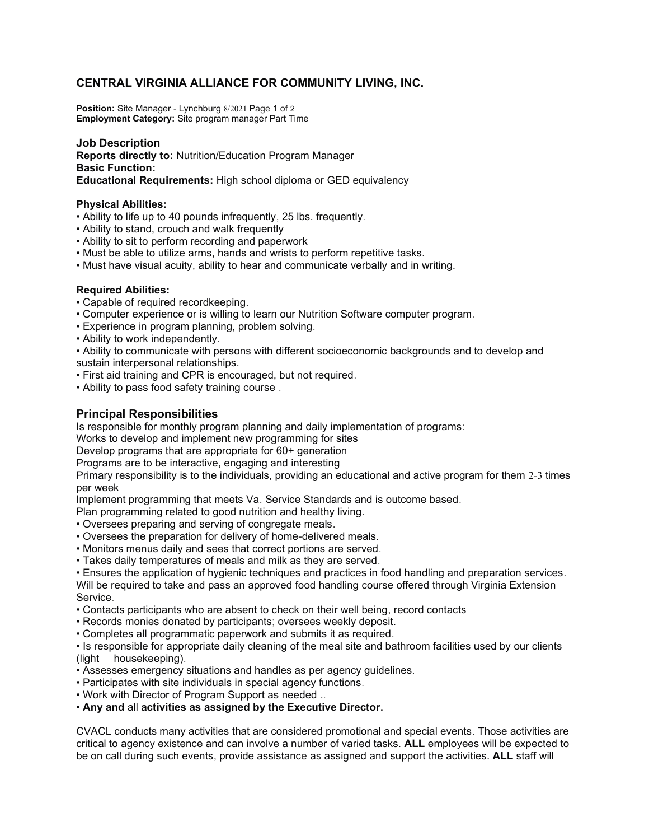# CENTRAL VIRGINIA ALLIANCE FOR COMMUNITY LIVING, INC.

Position: Site Manager - Lynchburg 8/2021 Page 1 of 2 Employment Category: Site program manager Part Time

### Job Description

Reports directly to: Nutrition/Education Program Manager Basic Function: Educational Requirements: High school diploma or GED equivalency

#### Physical Abilities:

- Ability to life up to 40 pounds infrequently, 25 lbs. frequently.
- Ability to stand, crouch and walk frequently
- Ability to sit to perform recording and paperwork
- Must be able to utilize arms, hands and wrists to perform repetitive tasks.
- Must have visual acuity, ability to hear and communicate verbally and in writing.

#### Required Abilities:

- Capable of required recordkeeping.
- Computer experience or is willing to learn our Nutrition Software computer program.
- Experience in program planning, problem solving.
- Ability to work independently.
- Ability to communicate with persons with different socioeconomic backgrounds and to develop and sustain interpersonal relationships.
- First aid training and CPR is encouraged, but not required.
- Ability to pass food safety training course .

## Principal Responsibilities

Is responsible for monthly program planning and daily implementation of programs:

Works to develop and implement new programming for sites

Develop programs that are appropriate for 60+ generation

Programs are to be interactive, engaging and interesting

Primary responsibility is to the individuals, providing an educational and active program for them 2-3 times per week

Implement programming that meets Va. Service Standards and is outcome based.

Plan programming related to good nutrition and healthy living.

- Oversees preparing and serving of congregate meals.
- Oversees the preparation for delivery of home-delivered meals.
- Monitors menus daily and sees that correct portions are served.
- Takes daily temperatures of meals and milk as they are served.

• Ensures the application of hygienic techniques and practices in food handling and preparation services. Will be required to take and pass an approved food handling course offered through Virginia Extension Service.

- Contacts participants who are absent to check on their well being, record contacts
- Records monies donated by participants; oversees weekly deposit.
- Completes all programmatic paperwork and submits it as required.

• Is responsible for appropriate daily cleaning of the meal site and bathroom facilities used by our clients (light housekeeping).

- Assesses emergency situations and handles as per agency guidelines.
- Participates with site individuals in special agency functions.
- Work with Director of Program Support as needed ..

#### • Any and all activities as assigned by the Executive Director.

CVACL conducts many activities that are considered promotional and special events. Those activities are critical to agency existence and can involve a number of varied tasks. ALL employees will be expected to be on call during such events, provide assistance as assigned and support the activities. ALL staff will